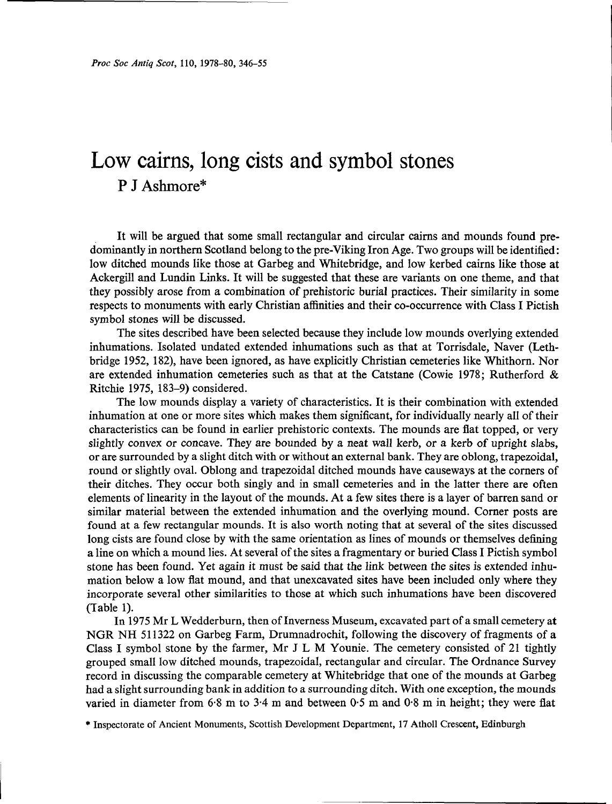# Low cairns, long cists and symbol stones P J Ashmore\*

It will be argued that some small rectangular and circular cairns and mounds found predominantly in northern Scotland belong to the pre-Viking Iron Age. Two groups will be identified: low ditched mounds like those at Garbeg and Whitebridge, and low kerbed cairns like those at Ackergill and Lundin Links. It will be suggested that these are variants on one theme, and that they possibly arose from a combination of prehistoric burial practices. Their similarity in some respects to monuments with early Christian affinities and their co-occurrence with Class I Pictish symbol stones will be discussed.

The sites described have been selected because they include low mounds overlying extended inhumations. Isolated undated extended inhumations such as that at Torrisdale, Naver (Lethbridge 1952, 182), have been ignored, as have explicitly Christian cemeteries like Whithorn. Nor are extended inhumation cemeteries such as that at the Catstane (Cowie 1978; Rutherford & Ritchie 1975, 183-9) considered.

The low mounds display a variety of characteristics. It is their combination with extended inhumation at one or more sites which makes them significant, for individually nearly all of their characteristics can be found in earlier prehistoric contexts. The mounds are flat topped, or very slightly convex or concave. They are bounded by a neat wall kerb, or a kerb of upright slabs, or are surrounded by a slight ditch with or without an external bank. They are oblong, trapezoidal, round or slightly oval. Oblong and trapezoidal ditched mounds have causeways at the corners of their ditches. They occur both singly and in small cemeteries and in the latter there are often elements of linearity in the layout of the mounds. At a few sites there is a layer of barren sand or similar material between the extended inhumation and the overlying mound. Corner posts are found at a few rectangular mounds. It is also worth noting that at several of the sites discussed long cists are found close by with the same orientation as lines of mounds or themselves defining a line on which a mound lies. At several of the sites a fragmentary or buried Class I Pictish symbol stone has been found. Yet again it must be said that the link between the sites is extended inhumation below a low flat mound, and that unexcavated sites have been included only where they incorporate several other similarities to those at which such inhumations have been discovered (Table 1).

In 1975 Mr L Wedderburn, then of Inverness Museum, excavated part of a small cemetery at NGR NH 511322 on Garbeg Farm, Drumnadrochit, following the discovery of fragments of a Class I symbol stone by the farmer, Mr J L M Younie. The cemetery consisted of 21 tightly grouped small low ditched mounds, trapezoidal, rectangular and circular. The Ordnance Survey record in discussing the comparable cemetery at Whitebridge that one of the mounds at Garbeg had a slight surrounding bank in addition to a surrounding ditch. With one exception, the mounds varied in diameter from 6-8 m to 3-4 m and between 0-5 m and 0-8 m in height; they were flat

\* Inspectorate of Ancient Monuments, Scottish Development Department, 17 Atholl Crescent, Edinburgh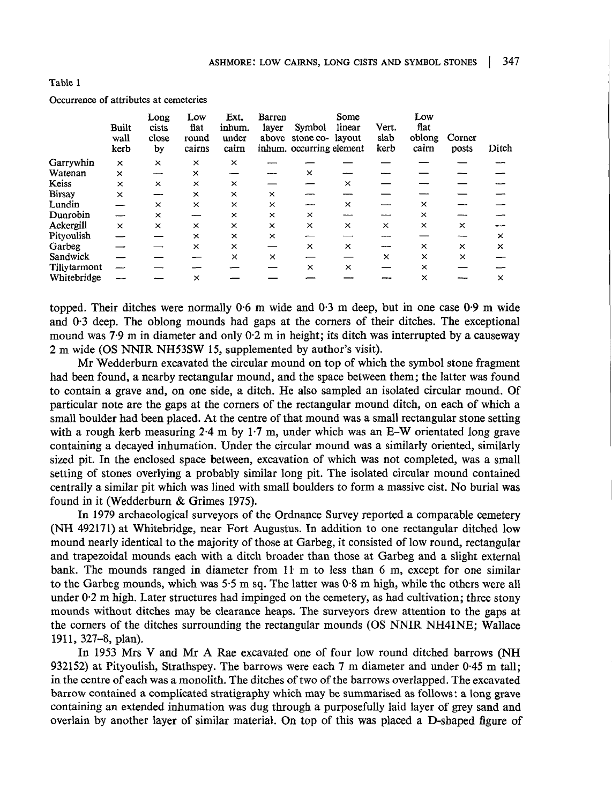| -- |  |
|----|--|
|----|--|

|  | Occurrence of attributes at cemeteries |  |  |  |  |
|--|----------------------------------------|--|--|--|--|
|--|----------------------------------------|--|--|--|--|

|               | Built<br>wall<br>kerb | Long<br>cists<br>close<br>by | Low<br>flat<br>round<br>cairns | Ext.<br>inhum.<br>under<br>cairn | Barren<br>layer | Symbol<br>above stone co- layout<br>inhum. occurring element | Some<br>linear | Vert.<br>slab<br>kerb | Low<br>flat<br>oblong<br>cairn | Corner<br>posts | Ditch    |
|---------------|-----------------------|------------------------------|--------------------------------|----------------------------------|-----------------|--------------------------------------------------------------|----------------|-----------------------|--------------------------------|-----------------|----------|
| Garrywhin     | $\times$              | $\times$                     | $\times$                       | $\times$                         |                 |                                                              |                |                       |                                |                 |          |
| Watenan       | $\times$              | $-$                          | $\times$                       |                                  |                 | ×                                                            |                |                       |                                |                 |          |
| Keiss         | $\times$              | $\times$                     | ×                              | $\times$                         |                 |                                                              | ×              |                       |                                |                 |          |
| <b>Birsay</b> | ×                     |                              | $\times$                       | ×                                | $\times$        |                                                              |                |                       |                                |                 |          |
| Lundin        |                       | $\times$                     | ×                              | ×                                | ×               |                                                              | ×              |                       | $\times$                       |                 |          |
| Dunrobin      |                       | $\times$                     |                                | ×                                | ×               | ×                                                            |                |                       | $\times$                       |                 |          |
| Ackergill     | $\times$              | $\times$                     | $\times$                       | $\times$                         | $\times$        | $\times$                                                     | ×              | $\times$              | $\times$                       | $\times$        |          |
| Pityoulish    |                       |                              | $\times$                       | $\times$                         | ×               |                                                              |                |                       |                                |                 | $\times$ |
| Garbeg        |                       |                              | ×                              | ×                                |                 | ×                                                            | ×              | ----                  | ×                              | ×               | $\times$ |
| Sandwick      |                       |                              |                                | ×                                | ×               |                                                              |                | $\times$              | ×                              | $\times$        |          |
| Tillytarmont  |                       |                              |                                |                                  |                 | ×                                                            | $\times$       |                       | X                              |                 |          |
| Whitebridge   |                       |                              | $\times$                       |                                  |                 |                                                              |                |                       | $\times$                       |                 | $\times$ |

topped. Their ditches were normally 0-6 m wide and 0-3 m deep, but in one case 0-9 m wide and 0-3 deep. The oblong mounds had gaps at the corners of their ditches. The exceptional mound was 7-9 m in diameter and only 0-2 m in height; its ditch was interrupted by a causeway 2 m wide (OS NNIR NH53SW 15, supplemented by author's visit).

Mr Wedderburn excavated the circular mound on top of which the symbol stone fragment had been found, a nearby rectangular mound, and the space between them; the latter was found to contain a grave and, on one side, a ditch. He also sampled an isolated circular mound. Of particular note are the gaps at the corners of the rectangular mound ditch, on each of which a small boulder had been placed. At the centre of that mound was a small rectangular stone setting with a rough kerb measuring 2-4 m by 1-7 m, under which was an E-W orientated long grave containing a decayed inhumation. Under the circular mound was a similarly oriented, similarly sized pit. In the enclosed space between, excavation of which was not completed, was a small setting of stones overlying a probably similar long pit. The isolated circular mound contained centrally a similar pit which was lined with small boulders to form a massive cist. No burial was found in it (Wedderburn & Grimes 1975).

In 1979 archaeological surveyors of the Ordnance Survey reported a comparable cemetery (NH 492171) at Whitebridge, near Fort Augustus. In addition to one rectangular ditched low mound nearly identical to the majority of those at Garbeg, it consisted of low round, rectangular and trapezoidal mounds each with a ditch broader than those at Garbeg and a slight external bank. The mounds ranged in diameter from 11 m to less than 6 m, except for one similar to the Garbeg mounds, which was  $5.5$  m sq. The latter was  $0.8$  m high, while the others were all under 0-2 m high. Later structures had impinged on the cemetery, as had cultivation; three stony mounds without ditches may be clearance heaps. The surveyors drew attention to the gaps at the corners of the ditches surrounding the rectangular mounds (OS NNIR NH41NE; Wallace 1911, 327-8, plan).

In 1953 Mrs V and Mr A Rae excavated one of four low round ditched barrows (NH 932152) at Pityoulish, Strathspey. The barrows were each 7 m diameter and under 0-45 m tall; in the centre of each was a monolith. The ditches of two of the barrows overlapped. The excavated barrow contained a complicated stratigraphy which may be summarised as follows: a long grave containing an extended inhumation was dug through a purposefully laid layer of grey sand and overlain by another layer of similar material. On top of this was placed a D-shaped figure of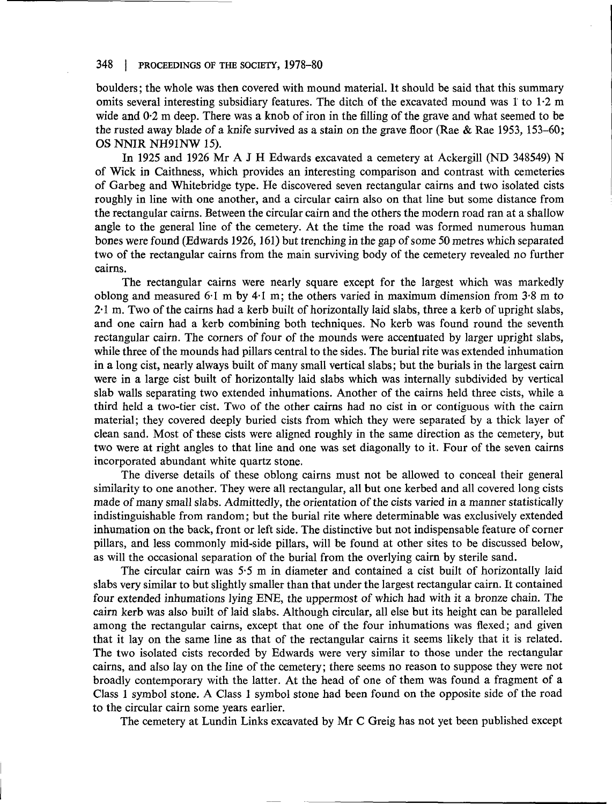boulders; the whole was then covered with mound material. It should be said that this summary omits several interesting subsidiary features. The ditch of the excavated mound was 1 to 1-2 m wide and 0.2 m deep. There was a knob of iron in the filling of the grave and what seemed to be the rusted away blade of a knife survived as a stain on the grave floor (Rae & Rae 1953, 153-60; OS NNIR NH91NW 15).

In 1925 and 1926 Mr A J H Edwards excavated a cemetery at Ackergill (ND 348549) N of Wick in Caithness, which provides an interesting comparison and contrast with cemeteries of Garbeg and Whitebridge type. He discovered seven rectangular cairns and two isolated cists roughly in line with one another, and a circular cairn also on that line but some distance from the rectangular cairns. Between the circular cairn and the others the modern road ran at a shallow angle to the general line of the cemetery. At the time the road was formed numerous human bones were found (Edwards 1926,161) but trenching in the gap of some 50 metres which separated two of the rectangular cairns from the main surviving body of the cemetery revealed no further cairns.

The rectangular cairns were nearly square except for the largest which was markedly oblong and measured 6-1 m by 4-1 m; the others varied in maximum dimension from 3-8 m to 2-1 m. Two of the cairns had a kerb built of horizontally laid slabs, three a kerb of upright slabs, and one cairn had a kerb combining both techniques. No kerb was found round the seventh rectangular cairn. The corners of four of the mounds were accentuated by larger upright slabs, while three of the mounds had pillars central to the sides. The burial rite was extended inhumation in a long cist, nearly always built of many small vertical slabs; but the burials in the largest cairn were in a large cist built of horizontally laid slabs which was internally subdivided by vertical slab walls separating two extended inhumations. Another of the cairns held three cists, while a third held a two-tier cist. Two of the other cairns had no cist in or contiguous with the cairn material; they covered deeply buried cists from which they were separated by a thick layer of clean sand. Most of these cists were aligned roughly in the same direction as the cemetery, but two were at right angles to that line and one was set diagonally to it. Four of the seven cairns incorporated abundant white quartz stone.

The diverse details of these oblong cairns must not be allowed to conceal their general similarity to one another. They were all rectangular, all but one kerbed and all covered long cists made of many small slabs. Admittedly, the orientation of the cists varied in a manner statistically indistinguishable from random; but the burial rite where determinable was exclusively extended inhumation on the back, front or left side. The distinctive but not indispensable feature of corner pillars, and less commonly mid-side pillars, will be found at other sites to be discussed below, as will the occasional separation of the burial from the overlying cairn by sterile sand.

The circular cairn was 5-5 m in diameter and contained a cist built of horizontally laid slabs very similar to but slightly smaller than that under the largest rectangular cairn. It contained four extended inhumations lying ENE, the uppermost of which had with it a bronze chain. The cairn kerb was also built of laid slabs. Although circular, all else but its height can be paralleled among the rectangular cairns, except that one of the four inhumations was flexed; and given that it lay on the same line as that of the rectangular cairns it seems likely that it is related. The two isolated cists recorded by Edwards were very similar to those under the rectangular cairns, and also lay on the line of the cemetery; there seems no reason to suppose they were not broadly contemporary with the latter. At the head of one of them was found a fragment of a Class 1 symbol stone. A Class 1 symbol stone had been found on the opposite side of the road to the circular cairn some years earlier.

The cemetery at Lundin Links excavated by Mr C Greig has not yet been published except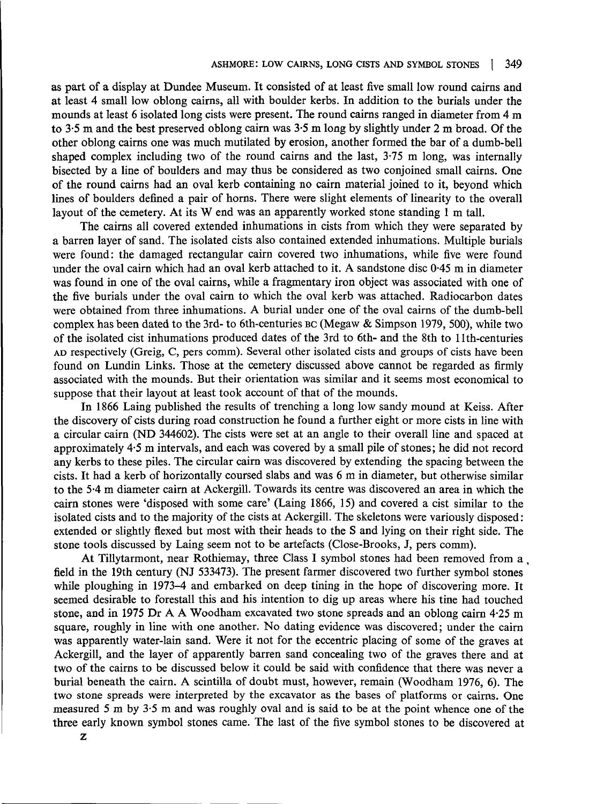as part of a display at Dundee Museum. It consisted of at least five small low round cairns and at least 4 small low oblong cairns, all with boulder kerbs. In addition to the burials under the mounds at least 6 isolated long cists were present. The round cairns ranged in diameter from 4 m to 3-5 m and the best preserved oblong cairn was 3-5 m long by slightly under 2 m broad. Of the other oblong cairns one was much mutilated by erosion, another formed the bar of a dumb-bell shaped complex including two of the round cairns and the last, 3-75 m long, was internally bisected by a line of boulders and may thus be considered as two conjoined small cairns. One of the round cairns had an oval kerb containing no cairn material joined to it, beyond which lines of boulders defined a pair of horns. There were slight elements of linearity to the overall layout of the cemetery. At its W end was an apparently worked stone standing 1 m tall.

The cairns all covered extended inhumations in cists from which they were separated by a barren layer of sand. The isolated cists also contained extended inhumations. Multiple burials were found: the damaged rectangular cairn covered two inhumations, while five were found under the oval cairn which had an oval kerb attached to it. A sandstone disc 0-45 m in diameter was found in one of the oval cairns, while a fragmentary iron object was associated with one of the five burials under the oval cairn to which the oval kerb was attached. Radiocarbon dates were obtained from three inhumations. A burial under one of the oval cairns of the dumb-bell complex has been dated to the 3rd- to 6th-centuries BC (Megaw & Simpson 1979, 500), while two of the isolated cist inhumations produced dates of the 3rd to 6th- and the 8th to 1 Ith-centuries AD respectively (Greig, C, pers comm). Several other isolated cists and groups of cists have been found on Lundin Links. Those at the cemetery discussed above cannot be regarded as firmly associated with the mounds. But their orientation was similar and it seems most economical to suppose that their layout at least took account of that of the mounds.

In 1866 Laing published the results of trenching a long low sandy mound at Keiss. After the discovery of cists during road construction he found a further eight or more cists in line with a circular cairn (ND 344602). The cists were set at an angle to their overall line and spaced at approximately 4-5 m intervals, and each was covered by a small pile of stones; he did not record any kerbs to these piles. The circular cairn was discovered by extending the spacing between the cists. It had a kerb of horizontally coursed slabs and was 6 m in diameter, but otherwise similar to the 5-4 m diameter cairn at Ackergill. Towards its centre was discovered an area in which the cairn stones were 'disposed with some care' (Laing 1866, 15) and covered a cist similar to the isolated cists and to the majority of the cists at Ackergill. The skeletons were variously disposed: extended or slightly flexed but most with their heads to the S and lying on their right side. The stone tools discussed by Laing seem not to be artefacts (Close-Brooks, J, pers comm).

At Tillytarmont, near Rothiemay, three Class I symbol stones had been removed from a, field in the 19th century (NJ 533473). The present farmer discovered two further symbol stones while ploughing in 1973-4 and embarked on deep tining in the hope of discovering more. It seemed desirable to forestall this and his intention to dig up areas where his tine had touched stone, and in 1975 Dr A A Woodham excavated two stone spreads and an oblong cairn 4-25 m square, roughly in line with one another. No dating evidence was discovered; under the cairn was apparently water-lain sand. Were it not for the eccentric placing of some of the graves at Ackergill, and the layer of apparently barren sand concealing two of the graves there and at two of the cairns to be discussed below it could be said with confidence that there was never a burial beneath the cairn. A scintilla of doubt must, however, remain (Woodham 1976, 6). The two stone spreads were interpreted by the excavator as the bases of platforms or cairns. One measured 5 m by 3-5 m and was roughly oval and is said to be at the point whence one of the three early known symbol stones came. The last of the five symbol stones to be discovered at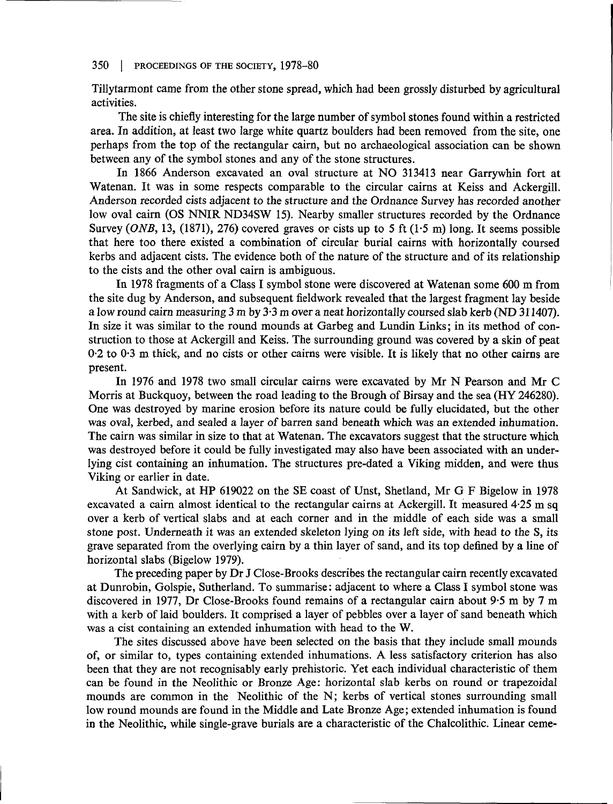Tillytarmont came from the other stone spread, which had been grossly disturbed by agricultural activities.

The site is chiefly interesting for the large number of symbol stones found within a restricted area. In addition, at least two large white quartz boulders had been removed from the site, one perhaps from the top of the rectangular cairn, but no archaeological association can be shown between any of the symbol stones and any of the stone structures.

In 1866 Anderson excavated an oval structure at NO 313413 near Garrywhin fort at Watenan. It was in some respects comparable to the circular cairns at Keiss and Ackergill. Anderson recorded cists adjacent to the structure and the Ordnance Survey has recorded another low oval cairn (OS NNIR ND34SW 15). Nearby smaller structures recorded by the Ordnance Survey *(ONE,* 13, (1871), 276) covered graves or cists up to 5 ft (1-5 m) long. It seems possible that here too there existed a combination of circular burial cairns with horizontally coursed kerbs and adjacent cists. The evidence both of the nature of the structure and of its relationship to the cists and the other oval cairn is ambiguous.

In 1978 fragments of a Class I symbol stone were discovered at Watenan some 600 m from the site dug by Anderson, and subsequent fieldwork revealed that the largest fragment lay beside a low round cairn measuring 3 m by 3-3 m over a neat horizontally coursed slab kerb (ND 311407). In size it was similar to the round mounds at Garbeg and Lundin Links; in its method of construction to those at Ackergill and Keiss. The surrounding ground was covered by a skin of peat 0-2 to 0-3 m thick, and no cists or other cairns were visible. It is likely that no other cairns are present.

In 1976 and 1978 two small circular cairns were excavated by Mr N Pearson and Mr C Morris at Buckquoy, between the road leading to the Brough of Birsay and the sea (HY 246280). One was destroyed by marine erosion before its nature could be fully elucidated, but the other was oval, kerbed, and sealed a layer of barren sand beneath which was an extended inhumation. The cairn was similar in size to that at Watenan. The excavators suggest that the structure which was destroyed before it could be fully investigated may also have been associated with an underlying cist containing an inhumation. The structures pre-dated a Viking midden, and were thus Viking or earlier in date.

At Sandwick, at HP 619022 on the SE coast of Unst, Shetland, Mr G F Bigelow in 1978 excavated a cairn almost identical to the rectangular cairns at Ackergill. It measured 4-25 m sq over a kerb of vertical slabs and at each corner and in the middle of each side was a small stone post. Underneath it was an extended skeleton lying on its left side, with head to the S, its grave separated from the overlying cairn by a thin layer of sand, and its top defined by a line of horizontal slabs (Bigelow 1979).

The preceding paper by Dr J Close-Brooks describes the rectangular cairn recently excavated at Dunrobin, Golspie, Sutherland. To summarise: adjacent to where a Class I symbol stone was discovered in 1977, Dr Close-Brooks found remains of a rectangular cairn about 9-5 m by 7 m with a kerb of laid boulders. It comprised a layer of pebbles over a layer of sand beneath which was a cist containing an extended inhumation with head to the W.

The sites discussed above have been selected on the basis that they include small mounds of, or similar to, types containing extended inhumations. A less satisfactory criterion has also been that they are not recognisably early prehistoric. Yet each individual characteristic of them can be found in the Neolithic or Bronze Age: horizontal slab kerbs on round or trapezoidal mounds are common in the Neolithic of the N; kerbs of vertical stones surrounding small low round mounds are found in the Middle and Late Bronze Age; extended inhumation is found in the Neolithic, while single-grave burials are a characteristic of the Chalcolithic. Linear ceme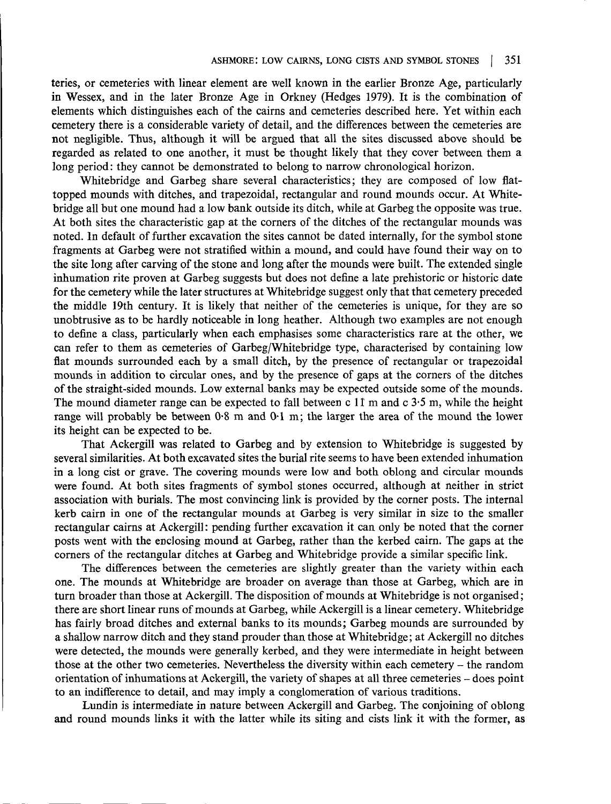teries, or cemeteries with linear element are well known in the earlier Bronze Age, particularly in Wessex, and in the later Bronze Age in Orkney (Hedges 1979). It is the combination of elements which distinguishes each of the cairns and cemeteries described here. Yet within each cemetery there is a considerable variety of detail, and the differences between the cemeteries are not negligible. Thus, although it will be argued that all the sites discussed above should be regarded as related to one another, it must be thought likely that they cover between them a long period: they cannot be demonstrated to belong to narrow chronological horizon.

Whitebridge and Garbeg share several characteristics; they are composed of low flattopped mounds with ditches, and trapezoidal, rectangular and round mounds occur. At Whitebridge all but one mound had a low bank outside its ditch, while at Garbeg the opposite was true. At both sites the characteristic gap at the corners of the ditches of the rectangular mounds was noted. In default of further excavation the sites cannot be dated internally, for the symbol stone fragments at Garbeg were not stratified within a mound, and could have found their way on to the site long after carving of the stone and long after the mounds were built. The extended single inhumation rite proven at Garbeg suggests but does not define a late prehistoric or historic date for the cemetery while the later structures at Whitebridge suggest only that that cemetery preceded the middle 19th century. It is likely that neither of the cemeteries is unique, for they are so unobtrusive as to be hardly noticeable in long heather. Although two examples are not enough to define a class, particularly when each emphasises some characteristics rare at the other, we can refer to them as cemeteries of Garbeg/Whitebridge type, characterised by containing low flat mounds surrounded each by a small ditch, by the presence of rectangular or trapezoidal mounds in addition to circular ones, and by the presence of gaps at the corners of the ditches of the straight-sided mounds. Low external banks may be expected outside some of the mounds. The mound diameter range can be expected to fall between c  $11 \text{ m}$  and c  $3.5 \text{ m}$ , while the height range will probably be between 0-8 m and 0-1 m; the larger the area of the mound the lower its height can be expected to be.

That Ackergill was related to Garbeg and by extension to Whitebridge is suggested by several similarities. At both excavated sites the burial rite seems to have been extended inhumation in a long cist or grave. The covering mounds were low and both oblong and circular mounds were found. At both sites fragments of symbol stones occurred, although at neither in strict association with burials. The most convincing link is provided by the corner posts. The internal kerb cairn in one of the rectangular mounds at Garbeg is very similar in size to the smaller rectangular cairns at Ackergill: pending further excavation it can only be noted that the corner posts went with the enclosing mound at Garbeg, rather than the kerbed cairn. The gaps at the corners of the rectangular ditches at Garbeg and Whitebridge provide a similar specific link.

The differences between the cemeteries are slightly greater than the variety within each one. The mounds at Whitebridge are broader on average than those at Garbeg, which are in turn broader than those at Ackergill. The disposition of mounds at Whitebridge is not organised; there are short linear runs of mounds at Garbeg, while Ackergill is a linear cemetery. Whitebridge has fairly broad ditches and external banks to its mounds; Garbeg mounds are surrounded by a shallow narrow ditch and they stand prouder than those at Whitebridge; at Ackergill no ditches were detected, the mounds were generally kerbed, and they were intermediate in height between those at the other two cemeteries. Nevertheless the diversity within each cemetery - the random orientation of inhumations at Ackergill, the variety of shapes at all three cemeteries - does point to an indifference to detail, and may imply a conglomeration of various traditions.

Lundin is intermediate in nature between Ackergill and Garbeg. The conjoining of oblong and round mounds links it with the latter while its siting and cists link it with the former, as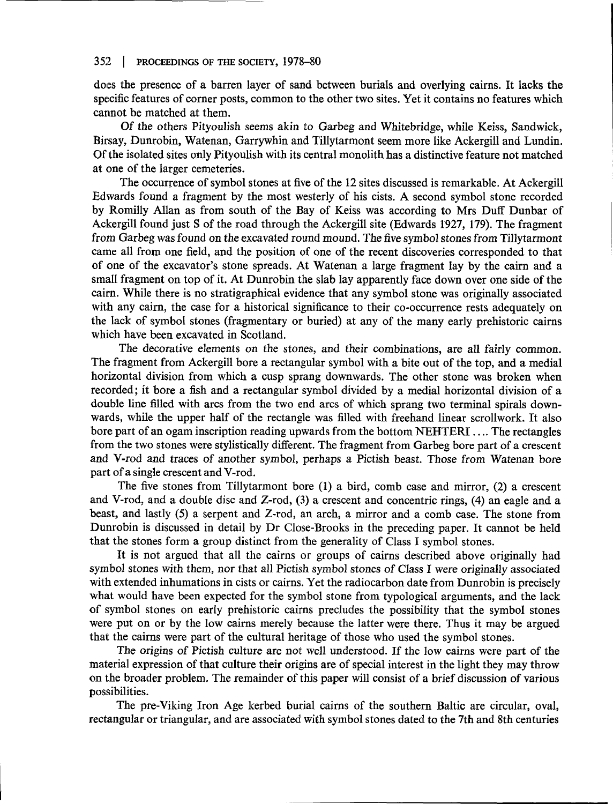does the presence of a barren layer of sand between burials and overlying cairns. It lacks the specific features of corner posts, common to the other two sites. Yet it contains no features which cannot be matched at them.

Of the others Pityoulish seems akin to Garbeg and Whitebridge, while Keiss, Sandwick, Birsay, Dunrobin, Watenan, Garrywhin and Tillytarmont seem more like Ackergill and Lundin. Of the isolated sites only Pityoulish with its central monolith has a distinctive feature not matched at one of the larger cemeteries.

The occurrence of symbol stones at five of the 12 sites discussed is remarkable. At Ackergill Edwards found a fragment by the most westerly of his cists. A second symbol stone recorded by Romilly Allan as from south of the Bay of Keiss was according to Mrs Duff Dunbar of Ackergill found just S of the road through the Ackergill site (Edwards 1927, 179). The fragment from Garbeg was found on the excavated round mound. The five symbol stones from Tillytarmont came all from one field, and the position of one of the recent discoveries corresponded to that of one of the excavator's stone spreads. At Watenan a large fragment lay by the cairn and a small fragment on top of it. At Dunrobin the slab lay apparently face down over one side of the cairn. While there is no stratigraphical evidence that any symbol stone was originally associated with any cairn, the case for a historical significance to their co-occurrence rests adequately on the lack of symbol stones (fragmentary or buried) at any of the many early prehistoric cairns which have been excavated in Scotland.

The decorative elements on the stones, and their combinations, are all fairly common. The fragment from Ackergill bore a rectangular symbol with a bite out of the top, and a medial horizontal division from which a cusp sprang downwards. The other stone was broken when recorded; it bore a fish and a rectangular symbol divided by a medial horizontal division of a double line filled with arcs from the two end arcs of which sprang two terminal spirals downwards, while the upper half of the rectangle was filled with freehand linear scrollwork. It also bore part of an ogam inscription reading upwards from the bottom NEHTERI.... The rectangles from the two stones were stylistically different. The fragment from Garbeg bore part of a crescent and V-rod and traces of another symbol, perhaps a Pictish beast. Those from Watenan bore part of a single crescent and V-rod.

The five stones from Tillytarmont bore (1) a bird, comb case and mirror, (2) a crescent and V-rod, and a double disc and Z-rod, (3) a crescent and concentric rings, (4) an eagle and a beast, and lastly (5) a serpent and Z-rod, an arch, a mirror and a comb case. The stone from Dunrobin is discussed in detail by Dr Close-Brooks in the preceding paper. It cannot be held that the stones form a group distinct from the generality of Class I symbol stones.

It is not argued that all the cairns or groups of cairns described above originally had symbol stones with them, nor that all Pictish symbol stones of Class I were originally associated with extended inhumations in cists or cairns. Yet the radiocarbon date from Dunrobin is precisely what would have been expected for the symbol stone from typological arguments, and the lack of symbol stones on early prehistoric cairns precludes the possibility that the symbol stones were put on or by the low cairns merely because the latter were there. Thus it may be argued that the cairns were part of the cultural heritage of those who used the symbol stones.

The origins of Pictish culture are not well understood. If the low cairns were part of the material expression of that culture their origins are of special interest in the light they may throw on the broader problem. The remainder of this paper will consist of a brief discussion of various possibilities.

The pre-Viking Iron Age kerbed burial cairns of the southern Baltic are circular, oval, rectangular or triangular, and are associated with symbol stones dated to the 7th and 8th centuries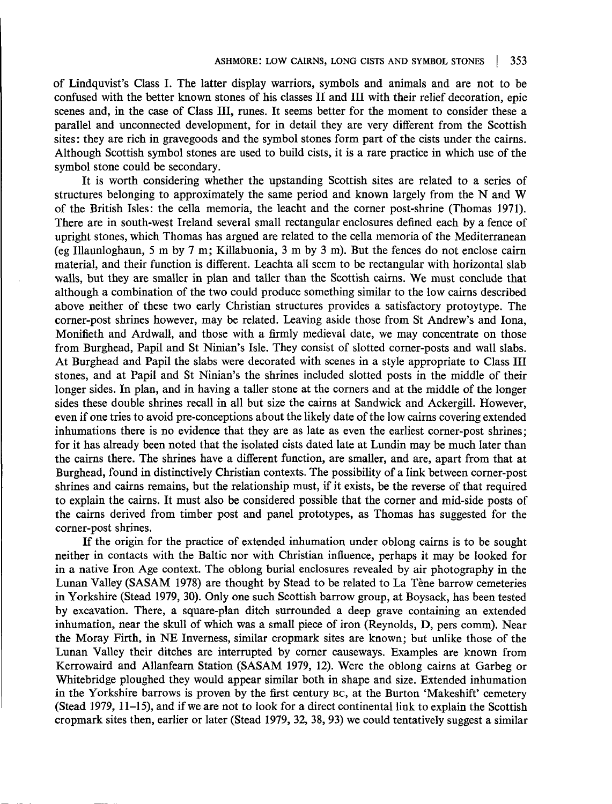of Lindquvist's Class I. The latter display warriors, symbols and animals and are not to be confused with the better known stones of his classes II and III with their relief decoration, epic scenes and, in the case of Class III, runes. It seems better for the moment to consider these a parallel and unconnected development, for in detail they are very different from the Scottish sites: they are rich in gravegoods and the symbol stones form part of the cists under the cairns. Although Scottish symbol stones are used to build cists, it is a rare practice in which use of the symbol stone could be secondary.

It is worth considering whether the upstanding Scottish sites are related to a series of structures belonging to approximately the same period and known largely from the N and W of the British Isles: the cella memoria, the leacht and the corner post-shrine (Thomas 1971). There are in south-west Ireland several small rectangular enclosures defined each by a fence of upright stones, which Thomas has argued are related to the cella memoria of the Mediterranean (eg Illaunloghaun, 5 m by 7 m; Killabuonia, 3 m by 3 m). But the fences do not enclose cairn material, and their function is different. Leachta all seem to be rectangular with horizontal slab walls, but they are smaller in plan and taller than the Scottish cairns. We must conclude that although a combination of the two could produce something similar to the low cairns described above neither of these two early Christian structures provides a satisfactory protoytype. The corner-post shrines however, may be related. Leaving aside those from St Andrew's and lona, Monifieth and Ardwall, and those with a firmly medieval date, we may concentrate on those from Burghead, Papil and St Ninian's Isle. They consist of slotted corner-posts and wall slabs. At Burghead and Papil the slabs were decorated with scenes in a style appropriate to Class III stones, and at Papil and St Ninian's the shrines included slotted posts in the middle of their longer sides. In plan, and in having a taller stone at the corners and at the middle of the longer sides these double shrines recall in all but size the cairns at Sandwick and Ackergill. However, even if one tries to avoid pre-conceptions about the likely date of the low cairns covering extended inhumations there is no evidence that they are as late as even the earliest corner-post shrines; for it has already been noted that the isolated cists dated late at Lundin may be much later than the cairns there. The shrines have a different function, are smaller, and are, apart from that at Burghead, found in distinctively Christian contexts. The possibility of a link between corner-post shrines and cairns remains, but the relationship must, if it exists, be the reverse of that required to explain the cairns. It must also be considered possible that the corner and mid-side posts of the cairns derived from timber post and panel prototypes, as Thomas has suggested for the corner-post shrines.

If the origin for the practice of extended inhumation under oblong cairns is to be sought neither in contacts with the Baltic nor with Christian influence, perhaps it may be looked for in a native Iron Age context. The oblong burial enclosures revealed by air photography in the Lunan Valley (SASAM 1978) are thought by Stead to be related to La Tene barrow cemeteries in Yorkshire (Stead 1979, 30). Only one such Scottish barrow group, at Boysack, has been tested by excavation. There, a square-plan ditch surrounded a deep grave containing an extended inhumation, near the skull of which was a small piece of iron (Reynolds, D, pers comm). Near the Moray Firth, in NE Inverness, similar cropmark sites are known; but unlike those of the Lunan Valley their ditches are interrupted by corner causeways. Examples are known from Kerrowaird and Allanfearn Station (SASAM 1979, 12). Were the oblong cairns at Garbeg or Whitebridge ploughed they would appear similar both in shape and size. Extended inhumation in the Yorkshire barrows is proven by the first century BC, at the Burton 'Makeshift' cemetery (Stead 1979, 11-15), and if we are not to look for a direct continental link to explain the Scottish cropmark sites then, earlier or later (Stead 1979, 32, 38, 93) we could tentatively suggest a similar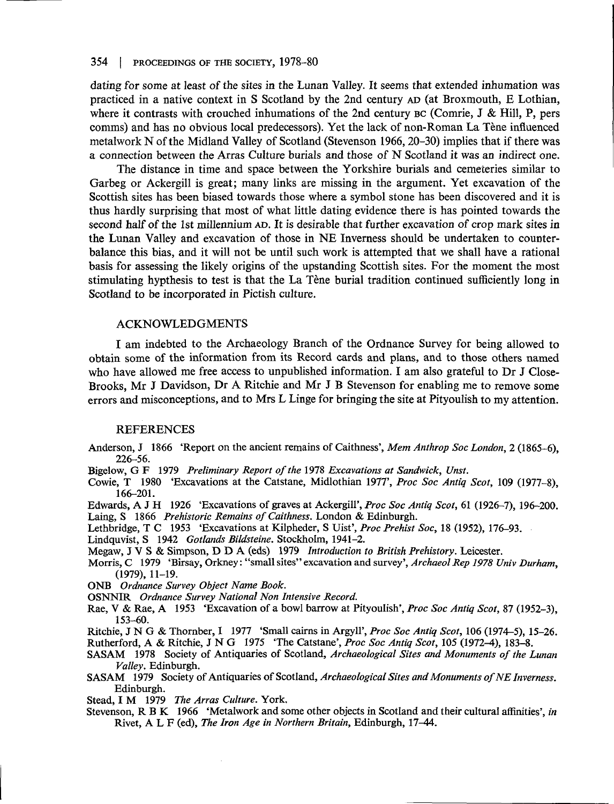dating for some at least of the sites in the Lunan Valley. It seems that extended inhumation was practiced in a native context in S Scotland by the 2nd century AD (at Broxmouth, E Lothian, where it contrasts with crouched inhumations of the 2nd century BC (Comrie, J & Hill, P, pers comms) and has no obvious local predecessors). Yet the lack of non-Roman La Tene influenced metalwork N of the Midland Valley of Scotland (Stevenson 1966, 20-30) implies that if there was a connection between the Arras Culture burials and those of N Scotland it was an indirect one.

The distance in time and space between the Yorkshire burials and cemeteries similar to Garbeg or Ackergill is great; many links are missing in the argument. Yet excavation of the Scottish sites has been biased towards those where a symbol stone has been discovered and it is thus hardly surprising that most of what little dating evidence there is has pointed towards the second half of the 1st millennium AD. It is desirable that further excavation of crop mark sites in the Lunan Valley and excavation of those in NE Inverness should be undertaken to counterbalance this bias, and it will not be until such work is attempted that we shall have a rational basis for assessing the likely origins of the upstanding Scottish sites. For the moment the most stimulating hypthesis to test is that the La Tène burial tradition continued sufficiently long in Scotland to be incorporated in Pictish culture.

## ACKNOWLEDGMENTS

I am indebted to the Archaeology Branch of the Ordnance Survey for being allowed to obtain some of the information from its Record cards and plans, and to those others named who have allowed me free access to unpublished information. I am also grateful to Dr J Close-Brooks, Mr J Davidson, Dr A Ritchie and Mr J B Stevenson for enabling me to remove some errors and misconceptions, and to Mrs L Linge for bringing the site at Pityoulish to my attention.

#### REFERENCES

- Anderson, J 1866 'Report on the ancient remains of Caithness', *Mem Anthrop Soc London, 2* (1865-6), 226-56.
- Bigelow, G F 1979 *Preliminary Report of the* 1978 *Excavations at Sandwich, Unst.*
- Cowie, T 1980 'Excavations at the Catstane, Midlothian 1977', *Proc Soc Antiq Scot,* 109 (1977-8), 166-201.
- Edwards, A J H 1926 'Excavations of graves at Ackergill', *Proc Soc Antiq Scot,* 61 (1926-7), 196-200.
- Laing, S 1866 *Prehistoric Remains of Caithness.* London & Edinburgh.
- Lethbridge, T C 1953 'Excavations at Kilpheder, S Uist', *Proc Prehist Soc,* 18 (1952), 176-93.
- Lindquvist, S 1942 *Gotlands Bildsteine.* Stockholm, 1941-2.
- Megaw, J V S & Simpson, D D A (eds) 1979 *Introduction to British Prehistory.* Leicester.
- Morris, C 1979 'Birsay, Orkney: "small sites" excavation and survey', *Archaeol Rep 1978 Univ Durham,* (1979), 11-19.
- ONB *Ordnance Survey Object Name Book.*
- OSNNIR *Ordnance Survey National Non Intensive Record.*
- Rae, V & Rae, A 1953 'Excavation of a bowl barrow at Pityoulish', *Proc Soc Antiq Scot,* 87 (1952-3), 153-60.
- Ritchie, J N G & Thornber, I 1977 'Small cairns in Argyll', *Proc Soc Antiq Scot,* 106 (1974-5), 15-26. Rutherford, A & Ritchie, J N G 1975 'The Catstane', *Proc Soc Antiq Scot,* 105 (1972-4), 183-8.
- SASAM 1978 Society of Antiquaries of Scotland, *Archaeological Sites and Monuments of the Lunan Valley.* Edinburgh.
- SASAM 1979 Society of Antiquaries of Scotland, Archaeological Sites and Monuments of NE Inverness. Edinburgh.
- Stead, I M 1979 *The Arras Culture.* York.
- Stevenson, R B K 1966 'Metalwork and some other objects in Scotland and their cultural affinities', *in* Rivet, A L F (ed), *The Iron Age in Northern Britain,* Edinburgh, 17^44.